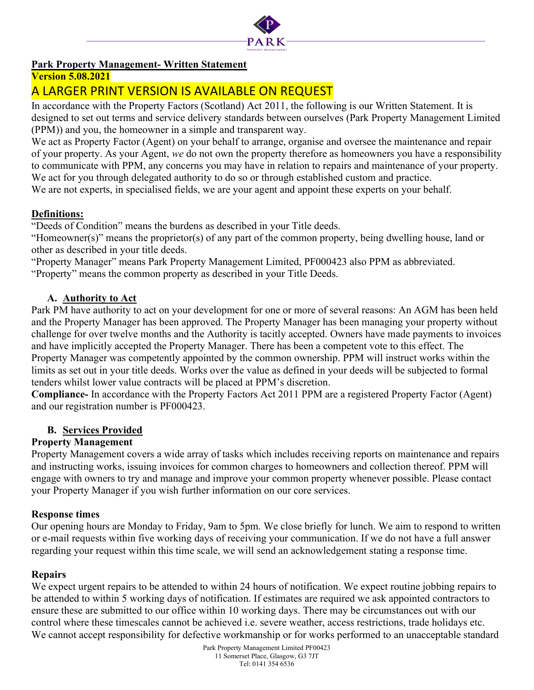

# Park Property Management- Written Statement

## Version 5.08.2021

# A LARGER PRINT VERSION IS AVAILABLE ON REQUEST

In accordance with the Property Factors (Scotland) Act 2011, the following is our Written Statement. It is designed to set out terms and service delivery standards between ourselves (Park Property Management Limited (PPM)) and you, the homeowner in a simple and transparent way.

We act as Property Factor (Agent) on your behalf to arrange, organise and oversee the maintenance and repair of your property. As your Agent, we do not own the property therefore as homeowners you have a responsibility to communicate with PPM, any concerns you may have in relation to repairs and maintenance of your property. We act for you through delegated authority to do so or through established custom and practice.

We are not experts, in specialised fields, we are your agent and appoint these experts on your behalf.

# Definitions:

"Deeds of Condition" means the burdens as described in your Title deeds.

"Homeowner(s)" means the proprietor(s) of any part of the common property, being dwelling house, land or other as described in your title deeds.

"Property Manager" means Park Property Management Limited, PF000423 also PPM as abbreviated. "Property" means the common property as described in your Title Deeds.

## A. Authority to Act

Park PM have authority to act on your development for one or more of several reasons: An AGM has been held and the Property Manager has been approved. The Property Manager has been managing your property without challenge for over twelve months and the Authority is tacitly accepted. Owners have made payments to invoices and have implicitly accepted the Property Manager. There has been a competent vote to this effect. The Property Manager was competently appointed by the common ownership. PPM will instruct works within the limits as set out in your title deeds. Works over the value as defined in your deeds will be subjected to formal tenders whilst lower value contracts will be placed at PPM's discretion.

Compliance- In accordance with the Property Factors Act 2011 PPM are a registered Property Factor (Agent) and our registration number is PF000423.

## B. Services Provided

## Property Management

Property Management covers a wide array of tasks which includes receiving reports on maintenance and repairs and instructing works, issuing invoices for common charges to homeowners and collection thereof. PPM will engage with owners to try and manage and improve your common property whenever possible. Please contact your Property Manager if you wish further information on our core services.

#### Response times

Our opening hours are Monday to Friday, 9am to 5pm. We close briefly for lunch. We aim to respond to written or e-mail requests within five working days of receiving your communication. If we do not have a full answer regarding your request within this time scale, we will send an acknowledgement stating a response time.

#### **Repairs**

We expect urgent repairs to be attended to within 24 hours of notification. We expect routine jobbing repairs to be attended to within 5 working days of notification. If estimates are required we ask appointed contractors to ensure these are submitted to our office within 10 working days. There may be circumstances out with our control where these timescales cannot be achieved i.e. severe weather, access restrictions, trade holidays etc. We cannot accept responsibility for defective workmanship or for works performed to an unacceptable standard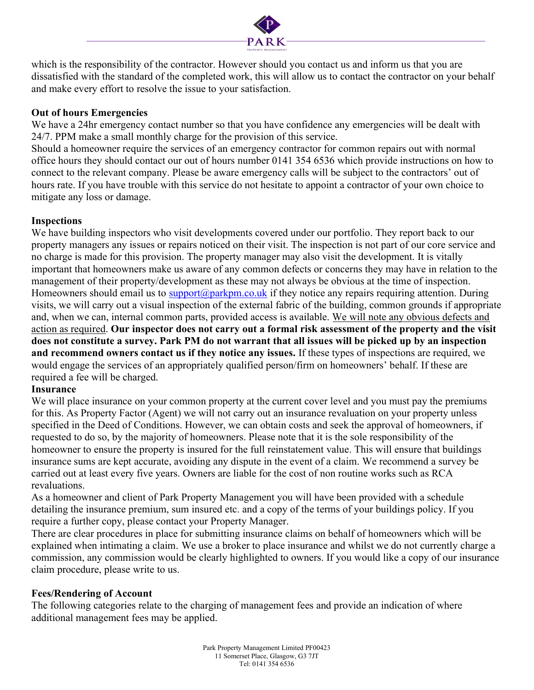

which is the responsibility of the contractor. However should you contact us and inform us that you are dissatisfied with the standard of the completed work, this will allow us to contact the contractor on your behalf and make every effort to resolve the issue to your satisfaction.

#### Out of hours Emergencies

We have a 24hr emergency contact number so that you have confidence any emergencies will be dealt with 24/7. PPM make a small monthly charge for the provision of this service.

Should a homeowner require the services of an emergency contractor for common repairs out with normal office hours they should contact our out of hours number 0141 354 6536 which provide instructions on how to connect to the relevant company. Please be aware emergency calls will be subject to the contractors' out of hours rate. If you have trouble with this service do not hesitate to appoint a contractor of your own choice to mitigate any loss or damage.

#### Inspections

We have building inspectors who visit developments covered under our portfolio. They report back to our property managers any issues or repairs noticed on their visit. The inspection is not part of our core service and no charge is made for this provision. The property manager may also visit the development. It is vitally important that homeowners make us aware of any common defects or concerns they may have in relation to the management of their property/development as these may not always be obvious at the time of inspection. Homeowners should email us to support@parkpm.co.uk if they notice any repairs requiring attention. During visits, we will carry out a visual inspection of the external fabric of the building, common grounds if appropriate and, when we can, internal common parts, provided access is available. We will note any obvious defects and action as required. Our inspector does not carry out a formal risk assessment of the property and the visit does not constitute a survey. Park PM do not warrant that all issues will be picked up by an inspection and recommend owners contact us if they notice any issues. If these types of inspections are required, we would engage the services of an appropriately qualified person/firm on homeowners' behalf. If these are required a fee will be charged.

#### **Insurance**

We will place insurance on your common property at the current cover level and you must pay the premiums for this. As Property Factor (Agent) we will not carry out an insurance revaluation on your property unless specified in the Deed of Conditions. However, we can obtain costs and seek the approval of homeowners, if requested to do so, by the majority of homeowners. Please note that it is the sole responsibility of the homeowner to ensure the property is insured for the full reinstatement value. This will ensure that buildings insurance sums are kept accurate, avoiding any dispute in the event of a claim. We recommend a survey be carried out at least every five years. Owners are liable for the cost of non routine works such as RCA revaluations.

As a homeowner and client of Park Property Management you will have been provided with a schedule detailing the insurance premium, sum insured etc. and a copy of the terms of your buildings policy. If you require a further copy, please contact your Property Manager.

There are clear procedures in place for submitting insurance claims on behalf of homeowners which will be explained when intimating a claim. We use a broker to place insurance and whilst we do not currently charge a commission, any commission would be clearly highlighted to owners. If you would like a copy of our insurance claim procedure, please write to us.

#### Fees/Rendering of Account

The following categories relate to the charging of management fees and provide an indication of where additional management fees may be applied.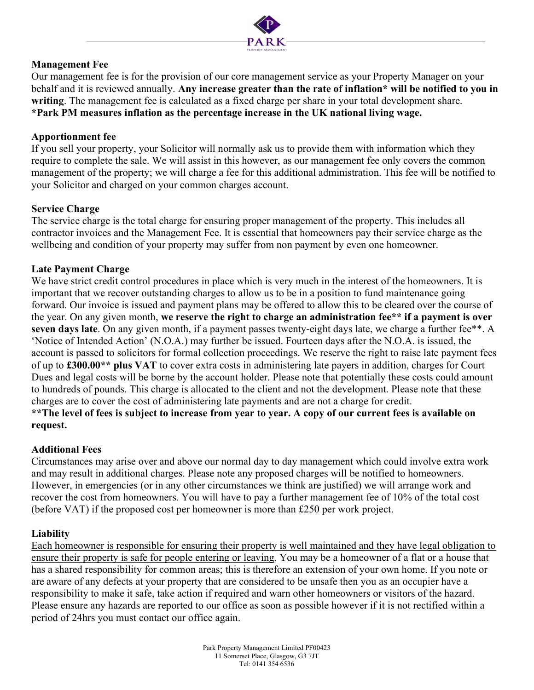

#### Management Fee

Our management fee is for the provision of our core management service as your Property Manager on your behalf and it is reviewed annually. Any increase greater than the rate of inflation\* will be notified to you in writing. The management fee is calculated as a fixed charge per share in your total development share. \*Park PM measures inflation as the percentage increase in the UK national living wage.

#### Apportionment fee

If you sell your property, your Solicitor will normally ask us to provide them with information which they require to complete the sale. We will assist in this however, as our management fee only covers the common management of the property; we will charge a fee for this additional administration. This fee will be notified to your Solicitor and charged on your common charges account.

## Service Charge

The service charge is the total charge for ensuring proper management of the property. This includes all contractor invoices and the Management Fee. It is essential that homeowners pay their service charge as the wellbeing and condition of your property may suffer from non payment by even one homeowner.

## Late Payment Charge

We have strict credit control procedures in place which is very much in the interest of the homeowners. It is important that we recover outstanding charges to allow us to be in a position to fund maintenance going forward. Our invoice is issued and payment plans may be offered to allow this to be cleared over the course of the year. On any given month, we reserve the right to charge an administration fee\*\* if a payment is over seven days late. On any given month, if a payment passes twenty-eight days late, we charge a further fee\*\*. A 'Notice of Intended Action' (N.O.A.) may further be issued. Fourteen days after the N.O.A. is issued, the account is passed to solicitors for formal collection proceedings. We reserve the right to raise late payment fees of up to £300.00\*\* plus VAT to cover extra costs in administering late payers in addition, charges for Court Dues and legal costs will be borne by the account holder. Please note that potentially these costs could amount to hundreds of pounds. This charge is allocated to the client and not the development. Please note that these charges are to cover the cost of administering late payments and are not a charge for credit. \*\*The level of fees is subject to increase from year to year. A copy of our current fees is available on request.

#### Additional Fees

Circumstances may arise over and above our normal day to day management which could involve extra work and may result in additional charges. Please note any proposed charges will be notified to homeowners. However, in emergencies (or in any other circumstances we think are justified) we will arrange work and recover the cost from homeowners. You will have to pay a further management fee of 10% of the total cost (before VAT) if the proposed cost per homeowner is more than £250 per work project.

#### Liability

Each homeowner is responsible for ensuring their property is well maintained and they have legal obligation to ensure their property is safe for people entering or leaving. You may be a homeowner of a flat or a house that has a shared responsibility for common areas; this is therefore an extension of your own home. If you note or are aware of any defects at your property that are considered to be unsafe then you as an occupier have a responsibility to make it safe, take action if required and warn other homeowners or visitors of the hazard. Please ensure any hazards are reported to our office as soon as possible however if it is not rectified within a period of 24hrs you must contact our office again.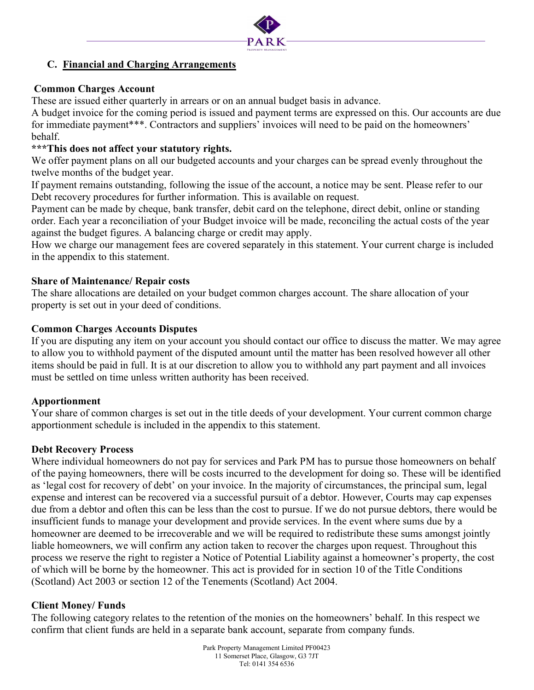

## C. Financial and Charging Arrangements

#### Common Charges Account

These are issued either quarterly in arrears or on an annual budget basis in advance.

A budget invoice for the coming period is issued and payment terms are expressed on this. Our accounts are due for immediate payment\*\*\*. Contractors and suppliers' invoices will need to be paid on the homeowners' behalf.

## \*\*\*This does not affect your statutory rights.

We offer payment plans on all our budgeted accounts and your charges can be spread evenly throughout the twelve months of the budget year.

If payment remains outstanding, following the issue of the account, a notice may be sent. Please refer to our Debt recovery procedures for further information. This is available on request.

Payment can be made by cheque, bank transfer, debit card on the telephone, direct debit, online or standing order. Each year a reconciliation of your Budget invoice will be made, reconciling the actual costs of the year against the budget figures. A balancing charge or credit may apply.

How we charge our management fees are covered separately in this statement. Your current charge is included in the appendix to this statement.

#### Share of Maintenance/ Repair costs

The share allocations are detailed on your budget common charges account. The share allocation of your property is set out in your deed of conditions.

#### Common Charges Accounts Disputes

If you are disputing any item on your account you should contact our office to discuss the matter. We may agree to allow you to withhold payment of the disputed amount until the matter has been resolved however all other items should be paid in full. It is at our discretion to allow you to withhold any part payment and all invoices must be settled on time unless written authority has been received.

#### Apportionment

Your share of common charges is set out in the title deeds of your development. Your current common charge apportionment schedule is included in the appendix to this statement.

#### Debt Recovery Process

Where individual homeowners do not pay for services and Park PM has to pursue those homeowners on behalf of the paying homeowners, there will be costs incurred to the development for doing so. These will be identified as 'legal cost for recovery of debt' on your invoice. In the majority of circumstances, the principal sum, legal expense and interest can be recovered via a successful pursuit of a debtor. However, Courts may cap expenses due from a debtor and often this can be less than the cost to pursue. If we do not pursue debtors, there would be insufficient funds to manage your development and provide services. In the event where sums due by a homeowner are deemed to be irrecoverable and we will be required to redistribute these sums amongst jointly liable homeowners, we will confirm any action taken to recover the charges upon request. Throughout this process we reserve the right to register a Notice of Potential Liability against a homeowner's property, the cost of which will be borne by the homeowner. This act is provided for in section 10 of the Title Conditions (Scotland) Act 2003 or section 12 of the Tenements (Scotland) Act 2004.

#### Client Money/ Funds

The following category relates to the retention of the monies on the homeowners' behalf. In this respect we confirm that client funds are held in a separate bank account, separate from company funds.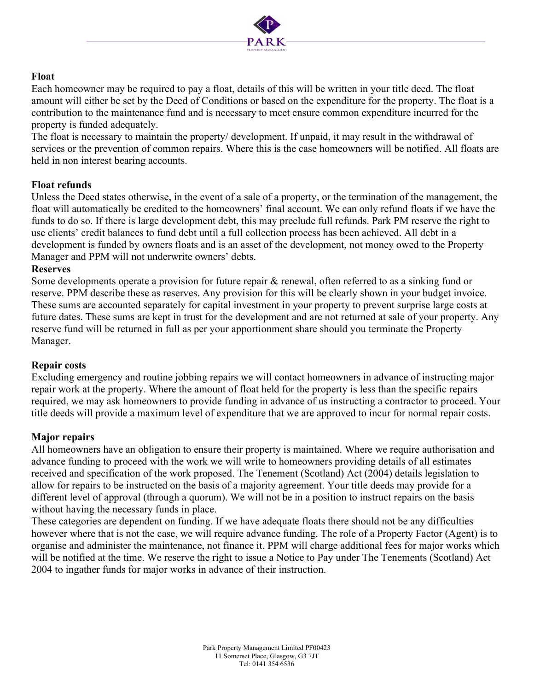

#### Float

Each homeowner may be required to pay a float, details of this will be written in your title deed. The float amount will either be set by the Deed of Conditions or based on the expenditure for the property. The float is a contribution to the maintenance fund and is necessary to meet ensure common expenditure incurred for the property is funded adequately.

The float is necessary to maintain the property/ development. If unpaid, it may result in the withdrawal of services or the prevention of common repairs. Where this is the case homeowners will be notified. All floats are held in non interest bearing accounts.

#### Float refunds

Unless the Deed states otherwise, in the event of a sale of a property, or the termination of the management, the float will automatically be credited to the homeowners' final account. We can only refund floats if we have the funds to do so. If there is large development debt, this may preclude full refunds. Park PM reserve the right to use clients' credit balances to fund debt until a full collection process has been achieved. All debt in a development is funded by owners floats and is an asset of the development, not money owed to the Property Manager and PPM will not underwrite owners' debts.

#### Reserves

Some developments operate a provision for future repair & renewal, often referred to as a sinking fund or reserve. PPM describe these as reserves. Any provision for this will be clearly shown in your budget invoice. These sums are accounted separately for capital investment in your property to prevent surprise large costs at future dates. These sums are kept in trust for the development and are not returned at sale of your property. Any reserve fund will be returned in full as per your apportionment share should you terminate the Property Manager.

#### Repair costs

Excluding emergency and routine jobbing repairs we will contact homeowners in advance of instructing major repair work at the property. Where the amount of float held for the property is less than the specific repairs required, we may ask homeowners to provide funding in advance of us instructing a contractor to proceed. Your title deeds will provide a maximum level of expenditure that we are approved to incur for normal repair costs.

#### Major repairs

All homeowners have an obligation to ensure their property is maintained. Where we require authorisation and advance funding to proceed with the work we will write to homeowners providing details of all estimates received and specification of the work proposed. The Tenement (Scotland) Act (2004) details legislation to allow for repairs to be instructed on the basis of a majority agreement. Your title deeds may provide for a different level of approval (through a quorum). We will not be in a position to instruct repairs on the basis without having the necessary funds in place.

These categories are dependent on funding. If we have adequate floats there should not be any difficulties however where that is not the case, we will require advance funding. The role of a Property Factor (Agent) is to organise and administer the maintenance, not finance it. PPM will charge additional fees for major works which will be notified at the time. We reserve the right to issue a Notice to Pay under The Tenements (Scotland) Act 2004 to ingather funds for major works in advance of their instruction.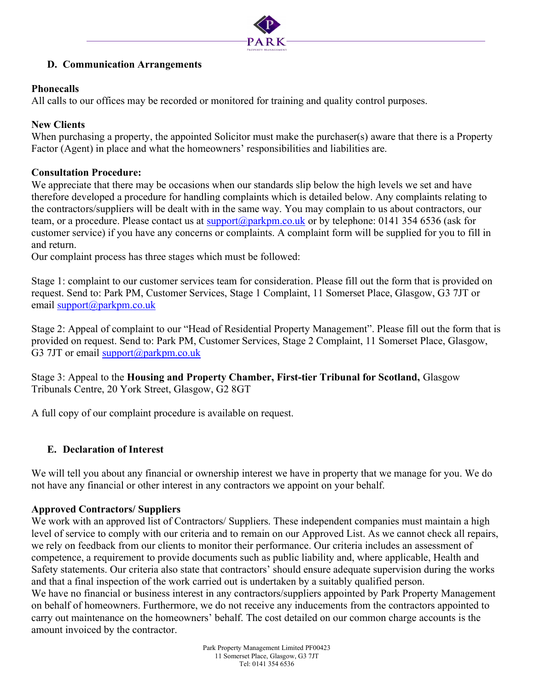

## D. Communication Arrangements

#### Phonecalls

All calls to our offices may be recorded or monitored for training and quality control purposes.

#### New Clients

When purchasing a property, the appointed Solicitor must make the purchaser(s) aware that there is a Property Factor (Agent) in place and what the homeowners' responsibilities and liabilities are.

#### Consultation Procedure:

We appreciate that there may be occasions when our standards slip below the high levels we set and have therefore developed a procedure for handling complaints which is detailed below. Any complaints relating to the contractors/suppliers will be dealt with in the same way. You may complain to us about contractors, our team, or a procedure. Please contact us at support@parkpm.co.uk or by telephone: 0141 354 6536 (ask for customer service) if you have any concerns or complaints. A complaint form will be supplied for you to fill in and return.

Our complaint process has three stages which must be followed:

Stage 1: complaint to our customer services team for consideration. Please fill out the form that is provided on request. Send to: Park PM, Customer Services, Stage 1 Complaint, 11 Somerset Place, Glasgow, G3 7JT or email support@parkpm.co.uk

Stage 2: Appeal of complaint to our "Head of Residential Property Management". Please fill out the form that is provided on request. Send to: Park PM, Customer Services, Stage 2 Complaint, 11 Somerset Place, Glasgow, G3 7JT or email support@parkpm.co.uk

Stage 3: Appeal to the Housing and Property Chamber, First-tier Tribunal for Scotland, Glasgow Tribunals Centre, 20 York Street, Glasgow, G2 8GT

A full copy of our complaint procedure is available on request.

#### E. Declaration of Interest

We will tell you about any financial or ownership interest we have in property that we manage for you. We do not have any financial or other interest in any contractors we appoint on your behalf.

#### Approved Contractors/ Suppliers

We work with an approved list of Contractors/ Suppliers. These independent companies must maintain a high level of service to comply with our criteria and to remain on our Approved List. As we cannot check all repairs, we rely on feedback from our clients to monitor their performance. Our criteria includes an assessment of competence, a requirement to provide documents such as public liability and, where applicable, Health and Safety statements. Our criteria also state that contractors' should ensure adequate supervision during the works and that a final inspection of the work carried out is undertaken by a suitably qualified person. We have no financial or business interest in any contractors/suppliers appointed by Park Property Management on behalf of homeowners. Furthermore, we do not receive any inducements from the contractors appointed to carry out maintenance on the homeowners' behalf. The cost detailed on our common charge accounts is the amount invoiced by the contractor.